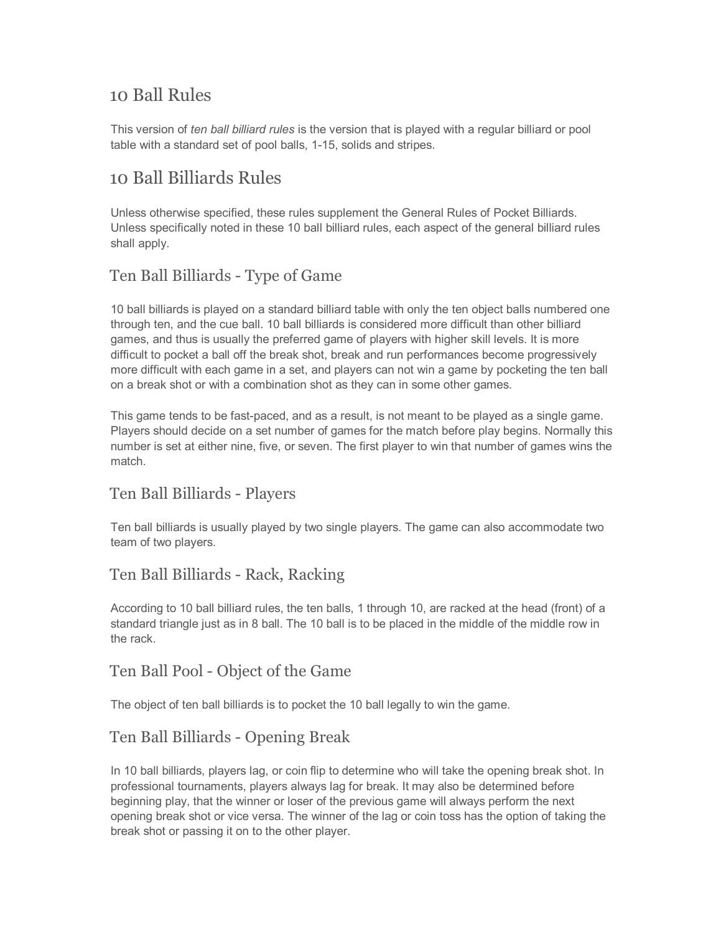## 10 Ball Rules

This version of *ten ball billiard rules* is the version that is played with a regular billiard or pool table with a standard set of pool balls, 1-15, solids and stripes.

# 10 Ball Billiards Rules

Unless otherwise specified, these rules supplement the General Rules of Pocket Billiards. Unless specifically noted in these 10 ball billiard rules, each aspect of the general billiard rules shall apply.

### Ten Ball Billiards - Type of Game

10 ball billiards is played on a standard billiard table with only the ten object balls numbered one through ten, and the cue ball. 10 ball billiards is considered more difficult than other billiard games, and thus is usually the preferred game of players with higher skill levels. It is more difficult to pocket a ball off the break shot, break and run performances become progressively more difficult with each game in a set, and players can not win a game by pocketing the ten ball on a break shot or with a combination shot as they can in some other games.

This game tends to be fast-paced, and as a result, is not meant to be played as a single game. Players should decide on a set number of games for the match before play begins. Normally this number is set at either nine, five, or seven. The first player to win that number of games wins the match.

#### Ten Ball Billiards Players

Ten ball billiards is usually played by two single players. The game can also accommodate two team of two players.

### Ten Ball Billiards - Rack, Racking

According to 10 ball billiard rules, the ten balls, 1 through 10, are racked at the head (front) of a standard triangle just as in 8 ball. The 10 ball is to be placed in the middle of the middle row in the rack.

#### Ten Ball Pool - Object of the Game

The object of ten ball billiards is to pocket the 10 ball legally to win the game.

### Ten Ball Billiards - Opening Break

In 10 ball billiards, players lag, or coin flip to determine who will take the opening break shot. In professional tournaments, players always lag for break. It may also be determined before beginning play, that the winner or loser of the previous game will always perform the next opening break shot or vice versa. The winner of the lag or coin toss has the option of taking the break shot or passing it on to the other player.